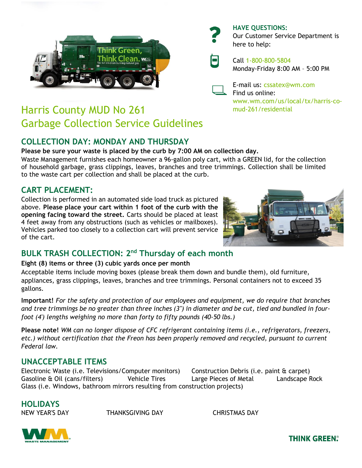

# Harris County MUD No 261 Garbage Collection Service Guidelines

## **COLLECTION DAY: MONDAY AND THURSDAY**

**Please be sure your waste is placed by the curb by 7:00 AM on collection day.**

Waste Management furnishes each homeowner a 96-gallon poly cart, with a GREEN lid, for the collection of household garbage, grass clippings, leaves, branches and tree trimmings. Collection shall be limited to the waste cart per collection and shall be placed at the curb.

### **CART PLACEMENT:**

Collection is performed in an automated side load truck as pictured above. **Please place your cart within 1 foot of the curb with the opening facing toward the street.** Carts should be placed at least 4 feet away from any obstructions (such as vehicles or mailboxes). Vehicles parked too closely to a collection cart will prevent service of the cart.

### **BULK TRASH COLLECTION: 2 nd Thursday of each month**

**Eight (8) items or three (3) cubic yards once per month**

Acceptable items include moving boxes (please break them down and bundle them), old furniture, appliances, grass clippings, leaves, branches and tree trimmings. Personal containers not to exceed 35 gallons.

**Important!** *For the safety and protection of our employees and equipment, we do require that branches* and tree trimmings be no greater than three inches (3") in diameter and be cut, tied and bundled in four*foot (4') lengths weighing no more than forty to fifty pounds (40-50 lbs.)*

**Please note!** *WM can no longer dispose of CFC refrigerant containing items (i.e., refrigerators, freezers, etc.) without certification that the Freon has been properly removed and recycled, pursuant to current Federal law.*

### **UNACCEPTABLE ITEMS**

Electronic Waste (i.e. Televisions/Computer monitors) Construction Debris (i.e. paint & carpet) Gasoline & Oil (cans/filters) Vehicle Tires Large Pieces of Metal Landscape Rock Glass (i.e. Windows, bathroom mirrors resulting from construction projects)

## **HOLIDAYS**

NEW YEAR'S DAY THANKSGIVING DAY CHRISTMAS DAY





**THINK GREEN®** 

E-mail us: cssatex@wm.com Find us online:

Monday-Friday 8:00 AM – 5:00 PM

www.wm.com/us/local/tx/harris-comud-261/residential

**HAVE QUESTIONS:** Our Customer Service Department is here to help:

Call 1-800-800-5804